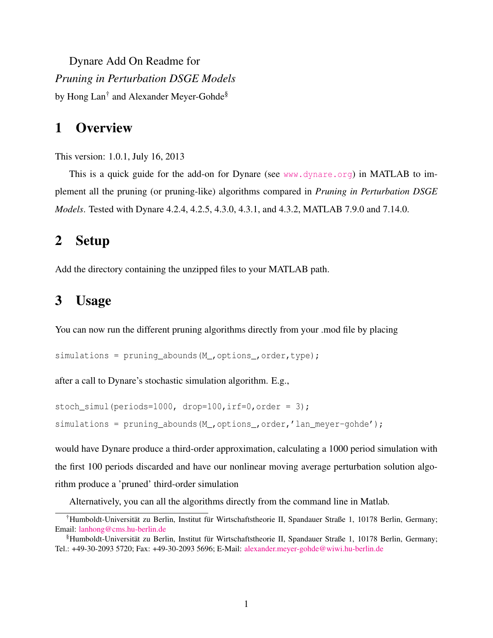Dynare Add On Readme for *Pruning in Perturbation DSGE Models* by Hong Lan<sup>[†](#page-0-0)</sup> and Alexander Meyer-Gohde<sup>[§](#page-0-1)</sup>

## 1 Overview

This version: 1.0.1, July 16, 2013

This is a quick guide for the add-on for Dynare (see <www.dynare.org>) in MATLAB to implement all the pruning (or pruning-like) algorithms compared in *Pruning in Perturbation DSGE Models*. Tested with Dynare 4.2.4, 4.2.5, 4.3.0, 4.3.1, and 4.3.2, MATLAB 7.9.0 and 7.14.0.

## 2 Setup

Add the directory containing the unzipped files to your MATLAB path.

## 3 Usage

You can now run the different pruning algorithms directly from your .mod file by placing

```
simulations = pruning abounds(M ,options ,order,type);
```
after a call to Dynare's stochastic simulation algorithm. E.g.,

```
stoch_simul(periods=1000, drop=100, irf=0, order = 3);
simulations = pruning_abounds(M_,options_,order,'lan_meyer-gohde');
```
would have Dynare produce a third-order approximation, calculating a 1000 period simulation with the first 100 periods discarded and have our nonlinear moving average perturbation solution algorithm produce a 'pruned' third-order simulation

<span id="page-0-0"></span>Alternatively, you can all the algorithms directly from the command line in Matlab.

<sup>&</sup>lt;sup>†</sup>Humboldt-Universität zu Berlin, Institut für Wirtschaftstheorie II, Spandauer Straße 1, 10178 Berlin, Germany; Email: [lanhong@cms.hu-berlin.de](mailto:lanhong@cms.hu-berlin.de)

<span id="page-0-1"></span><sup>§</sup>Humboldt-Universität zu Berlin, Institut für Wirtschaftstheorie II, Spandauer Straße 1, 10178 Berlin, Germany; Tel.: +49-30-2093 5720; Fax: +49-30-2093 5696; E-Mail: [alexander.meyer-gohde@wiwi.hu-berlin.de](mailto:alexander.meyer-gohde@wiwi.hu-berlin.de)